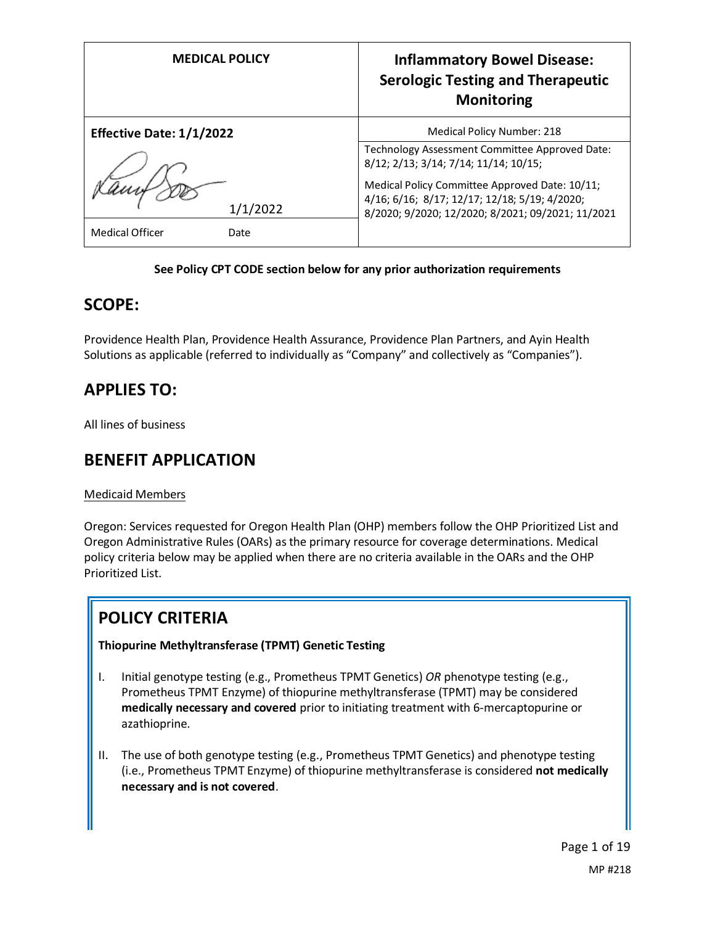| <b>MEDICAL POLICY</b>           | <b>Inflammatory Bowel Disease:</b><br><b>Serologic Testing and Therapeutic</b><br><b>Monitoring</b> |
|---------------------------------|-----------------------------------------------------------------------------------------------------|
| <b>Effective Date: 1/1/2022</b> | Medical Policy Number: 218                                                                          |
|                                 | Technology Assessment Committee Approved Date:<br>8/12; 2/13; 3/14; 7/14; 11/14; 10/15;             |
|                                 | Medical Policy Committee Approved Date: 10/11;<br>4/16; 6/16; 8/17; 12/17; 12/18; 5/19; 4/2020;     |
| 1/1/2022                        | 8/2020; 9/2020; 12/2020; 8/2021; 09/2021; 11/2021                                                   |
| <b>Medical Officer</b><br>Date  |                                                                                                     |

### **See Policy CPT CODE section below for any prior authorization requirements**

### **SCOPE:**

Providence Health Plan, Providence Health Assurance, Providence Plan Partners, and Ayin Health Solutions as applicable (referred to individually as "Company" and collectively as "Companies").

# **APPLIES TO:**

All lines of business

### **BENEFIT APPLICATION**

### Medicaid Members

Oregon: Services requested for Oregon Health Plan (OHP) members follow the OHP Prioritized List and Oregon Administrative Rules (OARs) as the primary resource for coverage determinations. Medical policy criteria below may be applied when there are no criteria available in the OARs and the OHP Prioritized List.

# **POLICY CRITERIA**

### **Thiopurine Methyltransferase (TPMT) Genetic Testing**

- I. Initial genotype testing (e.g., Prometheus TPMT Genetics) *OR* phenotype testing (e.g., Prometheus TPMT Enzyme) of thiopurine methyltransferase (TPMT) may be considered **medically necessary and covered** prior to initiating treatment with 6-mercaptopurine or azathioprine.
- II. The use of both genotype testing (e.g., Prometheus TPMT Genetics) and phenotype testing (i.e., Prometheus TPMT Enzyme) of thiopurine methyltransferase is considered **not medically necessary and is not covered**.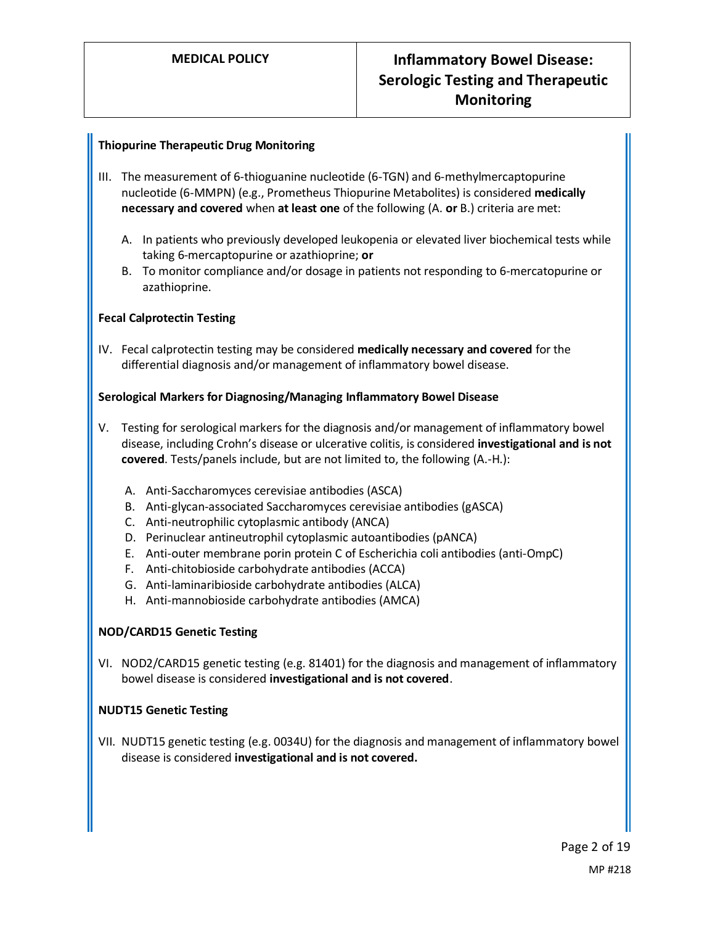### **Thiopurine Therapeutic Drug Monitoring**

- III. The measurement of 6-thioguanine nucleotide (6-TGN) and 6-methylmercaptopurine nucleotide (6-MMPN) (e.g., Prometheus Thiopurine Metabolites) is considered **medically necessary and covered** when **at least one** of the following (A. **or** B.) criteria are met:
	- A. In patients who previously developed leukopenia or elevated liver biochemical tests while taking 6-mercaptopurine or azathioprine; **or**
	- B. To monitor compliance and/or dosage in patients not responding to 6-mercatopurine or azathioprine.

### **Fecal Calprotectin Testing**

IV. Fecal calprotectin testing may be considered **medically necessary and covered** for the differential diagnosis and/or management of inflammatory bowel disease.

#### **Serological Markers for Diagnosing/Managing Inflammatory Bowel Disease**

- V. Testing for serological markers for the diagnosis and/or management of inflammatory bowel disease, including Crohn's disease or ulcerative colitis, is considered **investigational and is not covered**. Tests/panels include, but are not limited to, the following (A.-H.):
	- A. Anti-Saccharomyces cerevisiae antibodies (ASCA)
	- B. Anti-glycan-associated Saccharomyces cerevisiae antibodies (gASCA)
	- C. Anti-neutrophilic cytoplasmic antibody (ANCA)
	- D. Perinuclear antineutrophil cytoplasmic autoantibodies (pANCA)
	- E. Anti-outer membrane porin protein C of Escherichia coli antibodies (anti-OmpC)
	- F. Anti-chitobioside carbohydrate antibodies (ACCA)
	- G. Anti-laminaribioside carbohydrate antibodies (ALCA)
	- H. Anti-mannobioside carbohydrate antibodies (AMCA)

#### **NOD/CARD15 Genetic Testing**

VI. NOD2/CARD15 genetic testing (e.g. 81401) for the diagnosis and management of inflammatory bowel disease is considered **investigational and is not covered**.

#### **NUDT15 Genetic Testing**

VII. NUDT15 genetic testing (e.g. 0034U) for the diagnosis and management of inflammatory bowel disease is considered **investigational and is not covered.**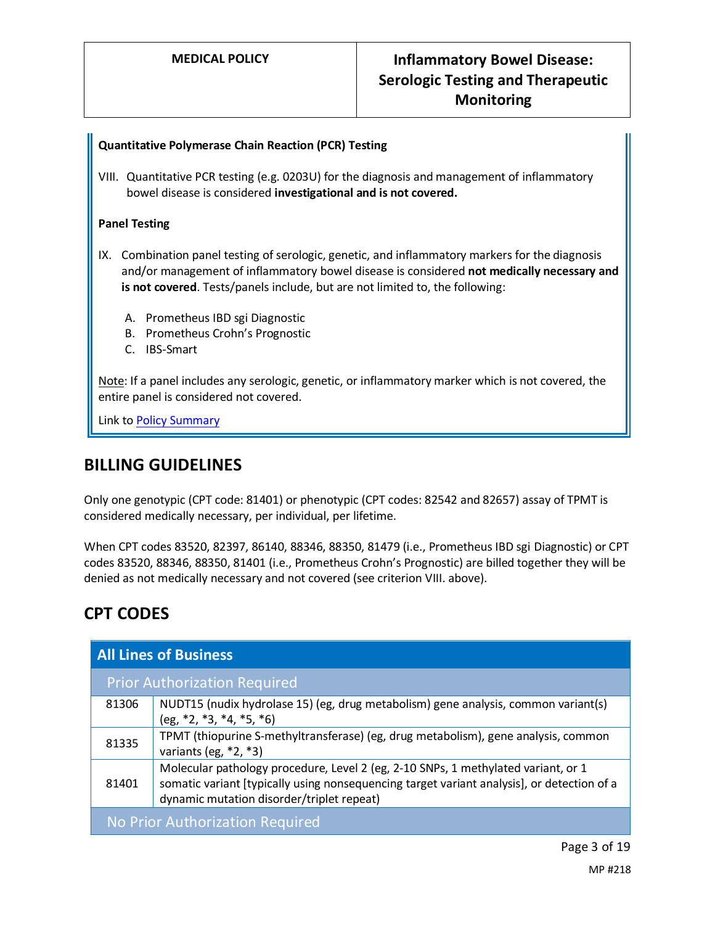### **Quantitative Polymerase Chain Reaction (PCR) Testing**

VIII. Quantitative PCR testing (e.g. 0203U) for the diagnosis and management of inflammatory bowel disease is considered **investigational and is not covered.**

#### **Panel Testing**

- IX. Combination panel testing of serologic, genetic, and inflammatory markers for the diagnosis and/or management of inflammatory bowel disease is considered **not medically necessary and is not covered**. Tests/panels include, but are not limited to, the following:
	- A. Prometheus IBD sgi Diagnostic
	- B. Prometheus Crohn's Prognostic
	- C. IBS-Smart

Note: If a panel includes any serologic, genetic, or inflammatory marker which is not covered, the entire panel is considered not covered.

Link t[o Policy Summary](#page-13-0)

### **BILLING GUIDELINES**

Only one genotypic (CPT code: 81401) or phenotypic (CPT codes: 82542 and 82657) assay of TPMT is considered medically necessary, per individual, per lifetime.

When CPT codes 83520, 82397, 86140, 88346, 88350, 81479 (i.e., Prometheus IBD sgi Diagnostic) or CPT codes 83520, 88346, 88350, 81401 (i.e., Prometheus Crohn's Prognostic) are billed together they will be denied as not medically necessary and not covered (see criterion VIII. above).

# **CPT CODES**

| <b>All Lines of Business</b>        |                                                                                                                                                                                                                              |  |  |
|-------------------------------------|------------------------------------------------------------------------------------------------------------------------------------------------------------------------------------------------------------------------------|--|--|
| <b>Prior Authorization Required</b> |                                                                                                                                                                                                                              |  |  |
| 81306                               | NUDT15 (nudix hydrolase 15) (eg, drug metabolism) gene analysis, common variant(s)<br>$(eg, *2, *3, *4, *5, *6)$                                                                                                             |  |  |
| 81335                               | TPMT (thiopurine S-methyltransferase) (eg, drug metabolism), gene analysis, common<br>variants (eg, $*2, *3$ )                                                                                                               |  |  |
| 81401                               | Molecular pathology procedure, Level 2 (eg, 2-10 SNPs, 1 methylated variant, or 1<br>somatic variant [typically using nonsequencing target variant analysis], or detection of a<br>dynamic mutation disorder/triplet repeat) |  |  |
| No Prior Authorization Required     |                                                                                                                                                                                                                              |  |  |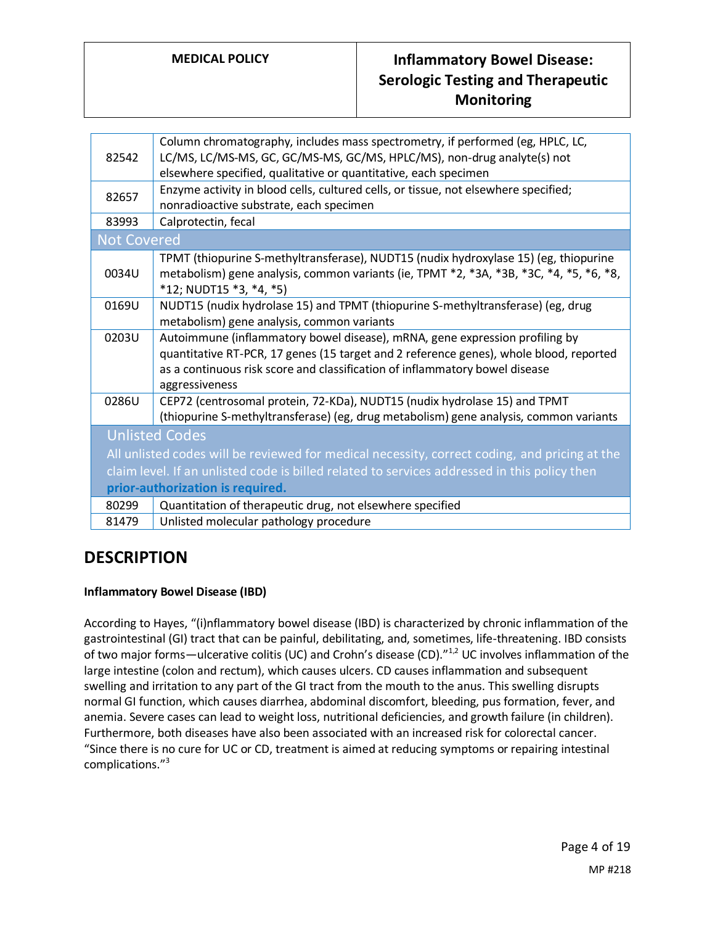| Column chromatography, includes mass spectrometry, if performed (eg, HPLC, LC,<br>LC/MS, LC/MS-MS, GC, GC/MS-MS, GC/MS, HPLC/MS), non-drug analyte(s) not<br>elsewhere specified, qualitative or quantitative, each specimen                                           |  |  |
|------------------------------------------------------------------------------------------------------------------------------------------------------------------------------------------------------------------------------------------------------------------------|--|--|
| Enzyme activity in blood cells, cultured cells, or tissue, not elsewhere specified;<br>nonradioactive substrate, each specimen                                                                                                                                         |  |  |
| Calprotectin, fecal                                                                                                                                                                                                                                                    |  |  |
| <b>Not Covered</b>                                                                                                                                                                                                                                                     |  |  |
| TPMT (thiopurine S-methyltransferase), NUDT15 (nudix hydroxylase 15) (eg, thiopurine<br>metabolism) gene analysis, common variants (ie, TPMT *2, *3A, *3B, *3C, *4, *5, *6, *8,<br>$*12$ ; NUDT15 $*3$ , $*4$ , $*5$ )                                                 |  |  |
| NUDT15 (nudix hydrolase 15) and TPMT (thiopurine S-methyltransferase) (eg, drug<br>metabolism) gene analysis, common variants                                                                                                                                          |  |  |
| Autoimmune (inflammatory bowel disease), mRNA, gene expression profiling by<br>quantitative RT-PCR, 17 genes (15 target and 2 reference genes), whole blood, reported<br>as a continuous risk score and classification of inflammatory bowel disease<br>aggressiveness |  |  |
| CEP72 (centrosomal protein, 72-KDa), NUDT15 (nudix hydrolase 15) and TPMT<br>(thiopurine S-methyltransferase) (eg, drug metabolism) gene analysis, common variants                                                                                                     |  |  |
| <b>Unlisted Codes</b>                                                                                                                                                                                                                                                  |  |  |
| All unlisted codes will be reviewed for medical necessity, correct coding, and pricing at the                                                                                                                                                                          |  |  |
| claim level. If an unlisted code is billed related to services addressed in this policy then                                                                                                                                                                           |  |  |
| prior-authorization is required.                                                                                                                                                                                                                                       |  |  |
| Quantitation of therapeutic drug, not elsewhere specified                                                                                                                                                                                                              |  |  |
| Unlisted molecular pathology procedure<br>81479                                                                                                                                                                                                                        |  |  |
|                                                                                                                                                                                                                                                                        |  |  |

### **DESCRIPTION**

### **Inflammatory Bowel Disease (IBD)**

According to Hayes, "(i)nflammatory bowel disease (IBD) is characterized by chronic inflammation of the gastrointestinal (GI) tract that can be painful, debilitating, and, sometimes, life-threatening. IBD consists of two major forms—ulcerative colitis (UC) and Crohn's disease (CD). $n_{1,2}$  UC involves inflammation of the large intestine (colon and rectum), which causes ulcers. CD causes inflammation and subsequent swelling and irritation to any part of the GI tract from the mouth to the anus. This swelling disrupts normal GI function, which causes diarrhea, abdominal discomfort, bleeding, pus formation, fever, and anemia. Severe cases can lead to weight loss, nutritional deficiencies, and growth failure (in children). Furthermore, both diseases have also been associated with an increased risk for colorectal cancer. "Since there is no cure for UC or CD, treatment is aimed at reducing symptoms or repairing intestinal complications." 3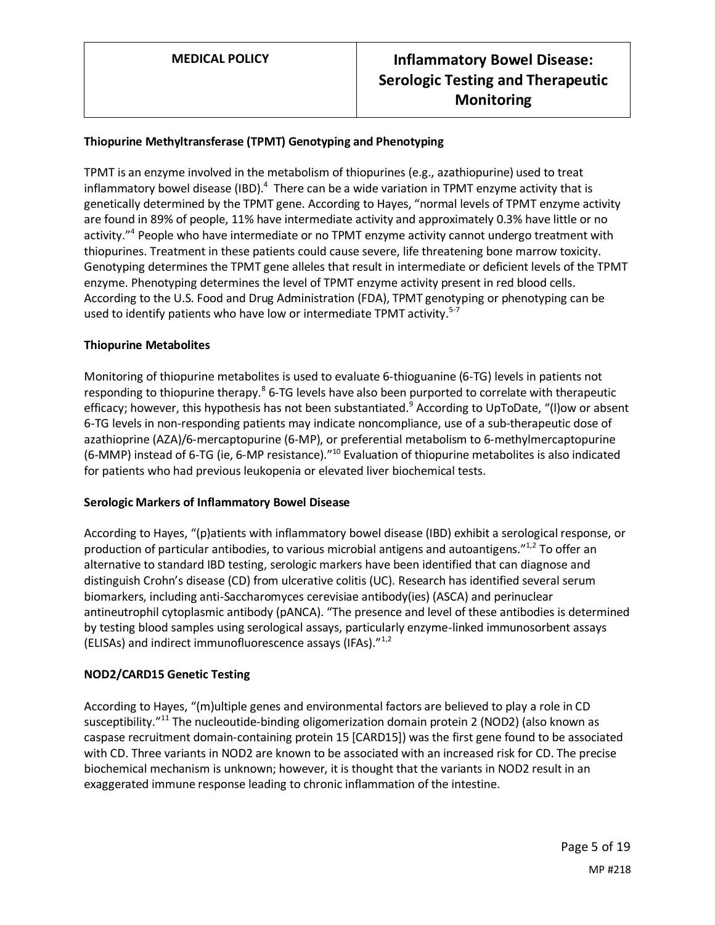### **Thiopurine Methyltransferase (TPMT) Genotyping and Phenotyping**

TPMT is an enzyme involved in the metabolism of thiopurines (e.g., azathiopurine) used to treat inflammatory bowel disease (IBD). $^4$  There can be a wide variation in TPMT enzyme activity that is genetically determined by the TPMT gene. According to Hayes, "normal levels of TPMT enzyme activity are found in 89% of people, 11% have intermediate activity and approximately 0.3% have little or no activity."<sup>4</sup> People who have intermediate or no TPMT enzyme activity cannot undergo treatment with thiopurines. Treatment in these patients could cause severe, life threatening bone marrow toxicity. Genotyping determines the TPMT gene alleles that result in intermediate or deficient levels of the TPMT enzyme. Phenotyping determines the level of TPMT enzyme activity present in red blood cells. According to the U.S. Food and Drug Administration (FDA), TPMT genotyping or phenotyping can be used to identify patients who have low or intermediate TPMT activity.<sup>5-7</sup>

### **Thiopurine Metabolites**

Monitoring of thiopurine metabolites is used to evaluate 6-thioguanine (6-TG) levels in patients not responding to thiopurine therapy.<sup>8</sup> 6-TG levels have also been purported to correlate with therapeutic efficacy; however, this hypothesis has not been substantiated. <sup>9</sup> According to UpToDate, "(l)ow or absent 6-TG levels in non-responding patients may indicate noncompliance, use of a sub-therapeutic dose of azathioprine (AZA)/6-mercaptopurine (6-MP), or preferential metabolism to 6-methylmercaptopurine (6-MMP) instead of 6-TG (ie, 6-MP resistance)."<sup>10</sup> Evaluation of thiopurine metabolites is also indicated for patients who had previous leukopenia or elevated liver biochemical tests.

#### **Serologic Markers of Inflammatory Bowel Disease**

According to Hayes, "(p)atients with inflammatory bowel disease (IBD) exhibit a serological response, or production of particular antibodies, to various microbial antigens and autoantigens."<sup>1,2</sup> To offer an alternative to standard IBD testing, serologic markers have been identified that can diagnose and distinguish Crohn's disease (CD) from ulcerative colitis (UC). Research has identified several serum biomarkers, including anti-Saccharomyces cerevisiae antibody(ies) (ASCA) and perinuclear antineutrophil cytoplasmic antibody (pANCA). "The presence and level of these antibodies is determined by testing blood samples using serological assays, particularly enzyme-linked immunosorbent assays (ELISAs) and indirect immunofluorescence assays (IFAs)."1,2

### **NOD2/CARD15 Genetic Testing**

According to Hayes, "(m)ultiple genes and environmental factors are believed to play a role in CD susceptibility."<sup>11</sup> The nucleoutide-binding oligomerization domain protein 2 (NOD2) (also known as caspase recruitment domain-containing protein 15 [CARD15]) was the first gene found to be associated with CD. Three variants in NOD2 are known to be associated with an increased risk for CD. The precise biochemical mechanism is unknown; however, it is thought that the variants in NOD2 result in an exaggerated immune response leading to chronic inflammation of the intestine.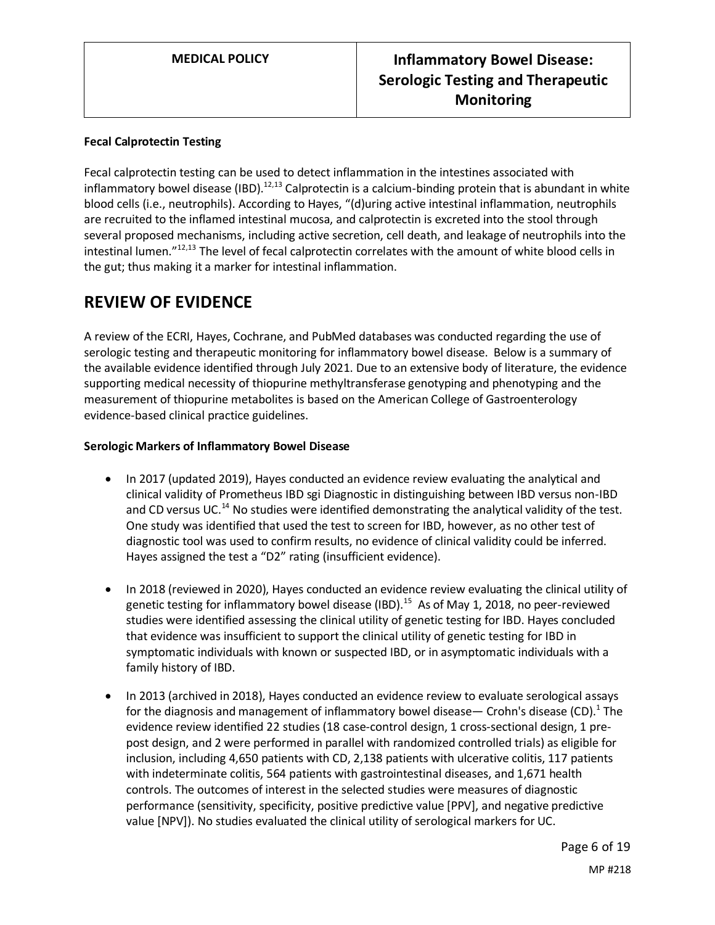### **Fecal Calprotectin Testing**

Fecal calprotectin testing can be used to detect inflammation in the intestines associated with inflammatory bowel disease (IBD).<sup>12,13</sup> Calprotectin is a calcium-binding protein that is abundant in white blood cells (i.e., neutrophils). According to Hayes, "(d)uring active intestinal inflammation, neutrophils are recruited to the inflamed intestinal mucosa, and calprotectin is excreted into the stool through several proposed mechanisms, including active secretion, cell death, and leakage of neutrophils into the intestinal lumen."12,13 The level of fecal calprotectin correlates with the amount of white blood cells in the gut; thus making it a marker for intestinal inflammation.

# **REVIEW OF EVIDENCE**

A review of the ECRI, Hayes, Cochrane, and PubMed databases was conducted regarding the use of serologic testing and therapeutic monitoring for inflammatory bowel disease. Below is a summary of the available evidence identified through July 2021. Due to an extensive body of literature, the evidence supporting medical necessity of thiopurine methyltransferase genotyping and phenotyping and the measurement of thiopurine metabolites is based on the American College of Gastroenterology evidence-based clinical practice guidelines.

### **Serologic Markers of Inflammatory Bowel Disease**

- In 2017 (updated 2019), Hayes conducted an evidence review evaluating the analytical and clinical validity of Prometheus IBD sgi Diagnostic in distinguishing between IBD versus non-IBD and CD versus UC.<sup>14</sup> No studies were identified demonstrating the analytical validity of the test. One study was identified that used the test to screen for IBD, however, as no other test of diagnostic tool was used to confirm results, no evidence of clinical validity could be inferred. Hayes assigned the test a "D2" rating (insufficient evidence).
- In 2018 (reviewed in 2020), Hayes conducted an evidence review evaluating the clinical utility of genetic testing for inflammatory bowel disease (IBD).<sup>15</sup> As of May 1, 2018, no peer-reviewed studies were identified assessing the clinical utility of genetic testing for IBD. Hayes concluded that evidence was insufficient to support the clinical utility of genetic testing for IBD in symptomatic individuals with known or suspected IBD, or in asymptomatic individuals with a family history of IBD.
- In 2013 (archived in 2018), Hayes conducted an evidence review to evaluate serological assays for the diagnosis and management of inflammatory bowel disease— Crohn's disease (CD).<sup>1</sup> The evidence review identified 22 studies (18 case-control design, 1 cross-sectional design, 1 prepost design, and 2 were performed in parallel with randomized controlled trials) as eligible for inclusion, including 4,650 patients with CD, 2,138 patients with ulcerative colitis, 117 patients with indeterminate colitis, 564 patients with gastrointestinal diseases, and 1,671 health controls. The outcomes of interest in the selected studies were measures of diagnostic performance (sensitivity, specificity, positive predictive value [PPV], and negative predictive value [NPV]). No studies evaluated the clinical utility of serological markers for UC.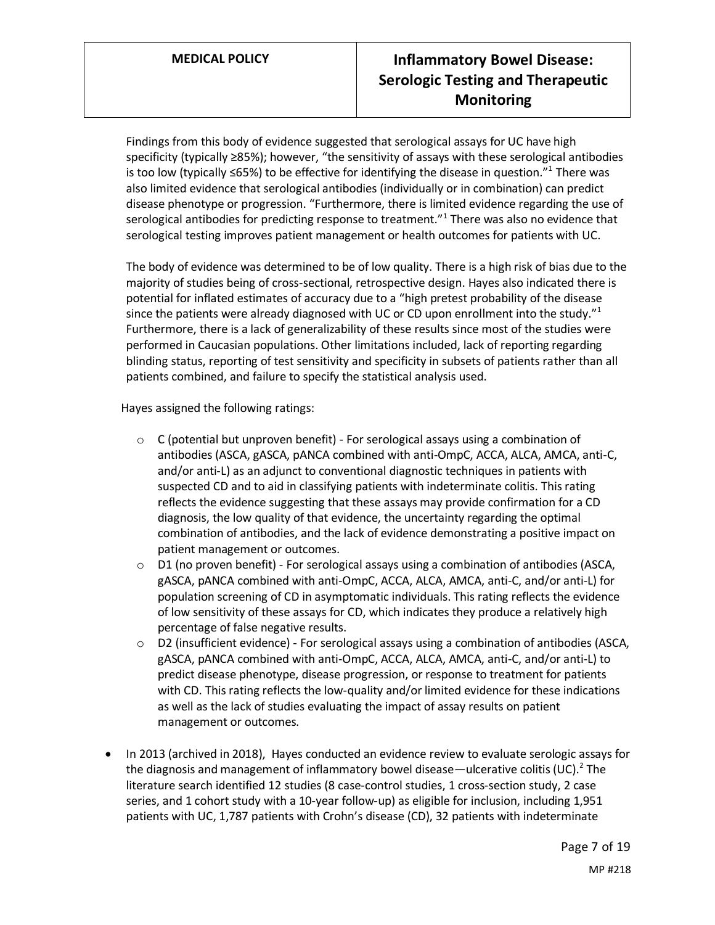Findings from this body of evidence suggested that serological assays for UC have high specificity (typically ≥85%); however, "the sensitivity of assays with these serological antibodies is too low (typically ≤65%) to be effective for identifying the disease in question."<sup>1</sup> There was also limited evidence that serological antibodies (individually or in combination) can predict disease phenotype or progression. "Furthermore, there is limited evidence regarding the use of serological antibodies for predicting response to treatment."<sup>1</sup> There was also no evidence that serological testing improves patient management or health outcomes for patients with UC.

The body of evidence was determined to be of low quality. There is a high risk of bias due to the majority of studies being of cross-sectional, retrospective design. Hayes also indicated there is potential for inflated estimates of accuracy due to a "high pretest probability of the disease since the patients were already diagnosed with UC or CD upon enrollment into the study." $1$ Furthermore, there is a lack of generalizability of these results since most of the studies were performed in Caucasian populations. Other limitations included, lack of reporting regarding blinding status, reporting of test sensitivity and specificity in subsets of patients rather than all patients combined, and failure to specify the statistical analysis used.

Hayes assigned the following ratings:

- $\circ$  C (potential but unproven benefit) For serological assays using a combination of antibodies (ASCA, gASCA, pANCA combined with anti-OmpC, ACCA, ALCA, AMCA, anti-C, and/or anti-L) as an adjunct to conventional diagnostic techniques in patients with suspected CD and to aid in classifying patients with indeterminate colitis. This rating reflects the evidence suggesting that these assays may provide confirmation for a CD diagnosis, the low quality of that evidence, the uncertainty regarding the optimal combination of antibodies, and the lack of evidence demonstrating a positive impact on patient management or outcomes.
- $\circ$  D1 (no proven benefit) For serological assays using a combination of antibodies (ASCA, gASCA, pANCA combined with anti-OmpC, ACCA, ALCA, AMCA, anti-C, and/or anti-L) for population screening of CD in asymptomatic individuals. This rating reflects the evidence of low sensitivity of these assays for CD, which indicates they produce a relatively high percentage of false negative results.
- $\circ$  D2 (insufficient evidence) For serological assays using a combination of antibodies (ASCA, gASCA, pANCA combined with anti-OmpC, ACCA, ALCA, AMCA, anti-C, and/or anti-L) to predict disease phenotype, disease progression, or response to treatment for patients with CD. This rating reflects the low-quality and/or limited evidence for these indications as well as the lack of studies evaluating the impact of assay results on patient management or outcomes.
- In 2013 (archived in 2018), Hayes conducted an evidence review to evaluate serologic assays for the diagnosis and management of inflammatory bowel disease—ulcerative colitis (UC).<sup>2</sup> The literature search identified 12 studies (8 case-control studies, 1 cross-section study, 2 case series, and 1 cohort study with a 10-year follow-up) as eligible for inclusion, including 1,951 patients with UC, 1,787 patients with Crohn's disease (CD), 32 patients with indeterminate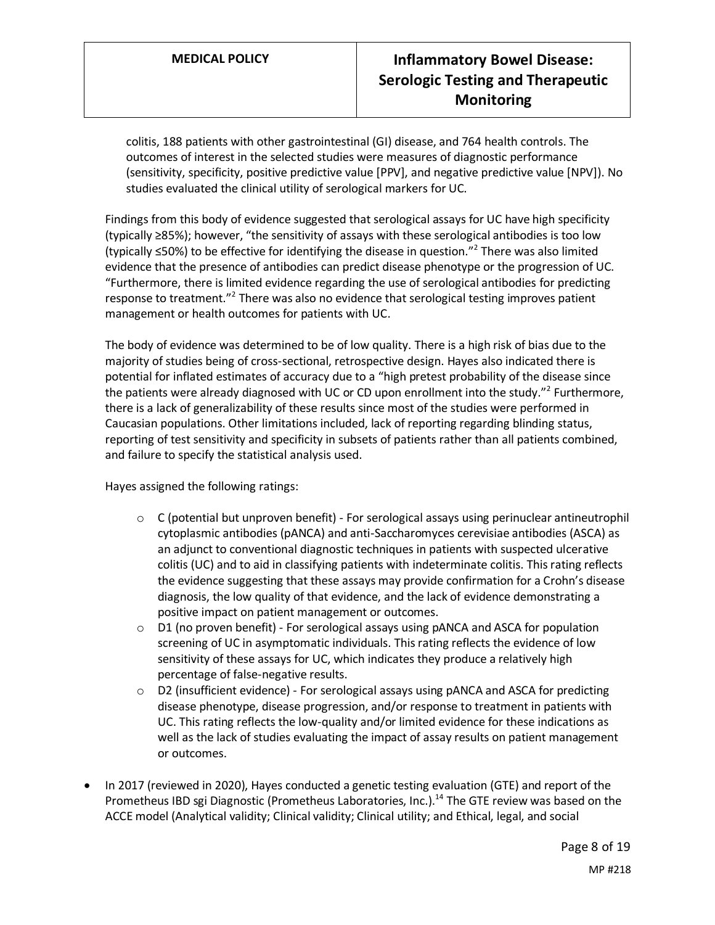colitis, 188 patients with other gastrointestinal (GI) disease, and 764 health controls. The outcomes of interest in the selected studies were measures of diagnostic performance (sensitivity, specificity, positive predictive value [PPV], and negative predictive value [NPV]). No studies evaluated the clinical utility of serological markers for UC.

Findings from this body of evidence suggested that serological assays for UC have high specificity (typically ≥85%); however, "the sensitivity of assays with these serological antibodies is too low (typically ≤50%) to be effective for identifying the disease in question."<sup>2</sup> There was also limited evidence that the presence of antibodies can predict disease phenotype or the progression of UC. "Furthermore, there is limited evidence regarding the use of serological antibodies for predicting response to treatment."<sup>2</sup> There was also no evidence that serological testing improves patient management or health outcomes for patients with UC.

The body of evidence was determined to be of low quality. There is a high risk of bias due to the majority of studies being of cross-sectional, retrospective design. Hayes also indicated there is potential for inflated estimates of accuracy due to a "high pretest probability of the disease since the patients were already diagnosed with UC or CD upon enrollment into the study.<sup>"2</sup> Furthermore, there is a lack of generalizability of these results since most of the studies were performed in Caucasian populations. Other limitations included, lack of reporting regarding blinding status, reporting of test sensitivity and specificity in subsets of patients rather than all patients combined, and failure to specify the statistical analysis used.

Hayes assigned the following ratings:

- $\circ$  C (potential but unproven benefit) For serological assays using perinuclear antineutrophil cytoplasmic antibodies (pANCA) and anti-Saccharomyces cerevisiae antibodies (ASCA) as an adjunct to conventional diagnostic techniques in patients with suspected ulcerative colitis (UC) and to aid in classifying patients with indeterminate colitis. This rating reflects the evidence suggesting that these assays may provide confirmation for a Crohn's disease diagnosis, the low quality of that evidence, and the lack of evidence demonstrating a positive impact on patient management or outcomes.
- $\circ$  D1 (no proven benefit) For serological assays using pANCA and ASCA for population screening of UC in asymptomatic individuals. This rating reflects the evidence of low sensitivity of these assays for UC, which indicates they produce a relatively high percentage of false-negative results.
- o D2 (insufficient evidence) For serological assays using pANCA and ASCA for predicting disease phenotype, disease progression, and/or response to treatment in patients with UC. This rating reflects the low-quality and/or limited evidence for these indications as well as the lack of studies evaluating the impact of assay results on patient management or outcomes.
- In 2017 (reviewed in 2020), Hayes conducted a genetic testing evaluation (GTE) and report of the Prometheus IBD sgi Diagnostic (Prometheus Laboratories, Inc.).<sup>14</sup> The GTE review was based on the ACCE model (Analytical validity; Clinical validity; Clinical utility; and Ethical, legal, and social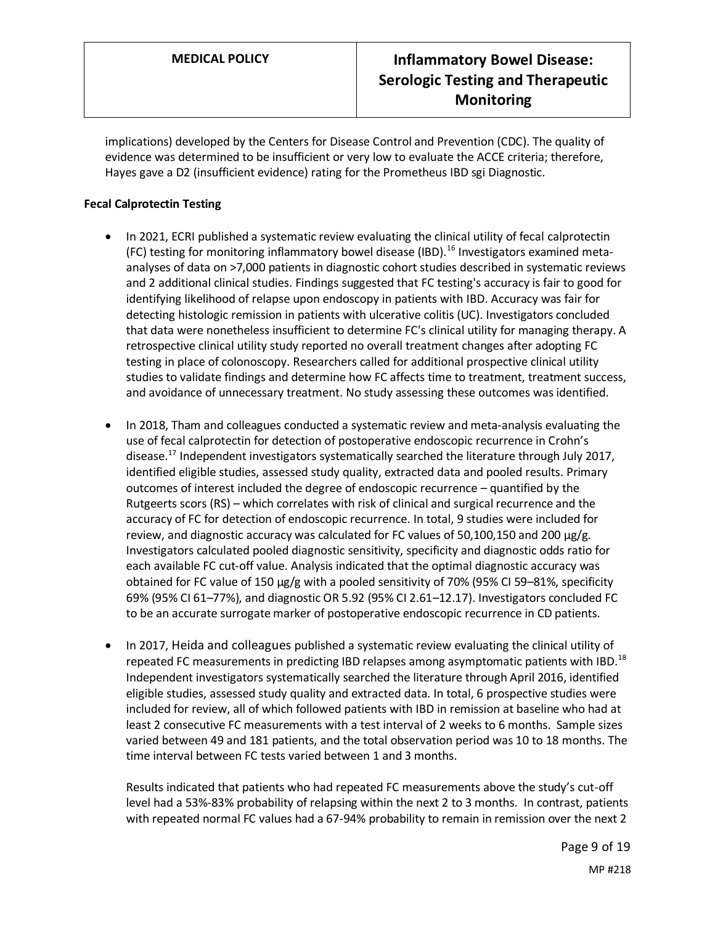implications) developed by the Centers for Disease Control and Prevention (CDC). The quality of evidence was determined to be insufficient or very low to evaluate the ACCE criteria; therefore, Hayes gave a D2 (insufficient evidence) rating for the Prometheus IBD sgi Diagnostic.

### **Fecal Calprotectin Testing**

- In 2021, ECRI published a systematic review evaluating the clinical utility of fecal calprotectin (FC) testing for monitoring inflammatory bowel disease (IBD).<sup>16</sup> Investigators examined metaanalyses of data on >7,000 patients in diagnostic cohort studies described in systematic reviews and 2 additional clinical studies. Findings suggested that FC testing's accuracy is fair to good for identifying likelihood of relapse upon endoscopy in patients with IBD. Accuracy was fair for detecting histologic remission in patients with ulcerative colitis (UC). Investigators concluded that data were nonetheless insufficient to determine FC's clinical utility for managing therapy. A retrospective clinical utility study reported no overall treatment changes after adopting FC testing in place of colonoscopy. Researchers called for additional prospective clinical utility studies to validate findings and determine how FC affects time to treatment, treatment success, and avoidance of unnecessary treatment. No study assessing these outcomes was identified.
- In 2018, Tham and colleagues conducted a systematic review and meta-analysis evaluating the use of fecal calprotectin for detection of postoperative endoscopic recurrence in Crohn's disease.<sup>17</sup> Independent investigators systematically searched the literature through July 2017, identified eligible studies, assessed study quality, extracted data and pooled results. Primary outcomes of interest included the degree of endoscopic recurrence – quantified by the Rutgeerts scors (RS) – which correlates with risk of clinical and surgical recurrence and the accuracy of FC for detection of endoscopic recurrence. In total, 9 studies were included for review, and diagnostic accuracy was calculated for FC values of 50,100,150 and 200 μg/g. Investigators calculated pooled diagnostic sensitivity, specificity and diagnostic odds ratio for each available FC cut-off value. Analysis indicated that the optimal diagnostic accuracy was obtained for FC value of 150 μg/g with a pooled sensitivity of 70% (95% CI 59–81%, specificity 69% (95% CI 61–77%), and diagnostic OR 5.92 (95% CI 2.61–12.17). Investigators concluded FC to be an accurate surrogate marker of postoperative endoscopic recurrence in CD patients.
- In 2017, Heida and colleagues published a systematic review evaluating the clinical utility of repeated FC measurements in predicting IBD relapses among asymptomatic patients with IBD.<sup>18</sup> Independent investigators systematically searched the literature through April 2016, identified eligible studies, assessed study quality and extracted data. In total, 6 prospective studies were included for review, all of which followed patients with IBD in remission at baseline who had at least 2 consecutive FC measurements with a test interval of 2 weeks to 6 months. Sample sizes varied between 49 and 181 patients, and the total observation period was 10 to 18 months. The time interval between FC tests varied between 1 and 3 months.

Results indicated that patients who had repeated FC measurements above the study's cut-off level had a 53%-83% probability of relapsing within the next 2 to 3 months. In contrast, patients with repeated normal FC values had a 67-94% probability to remain in remission over the next 2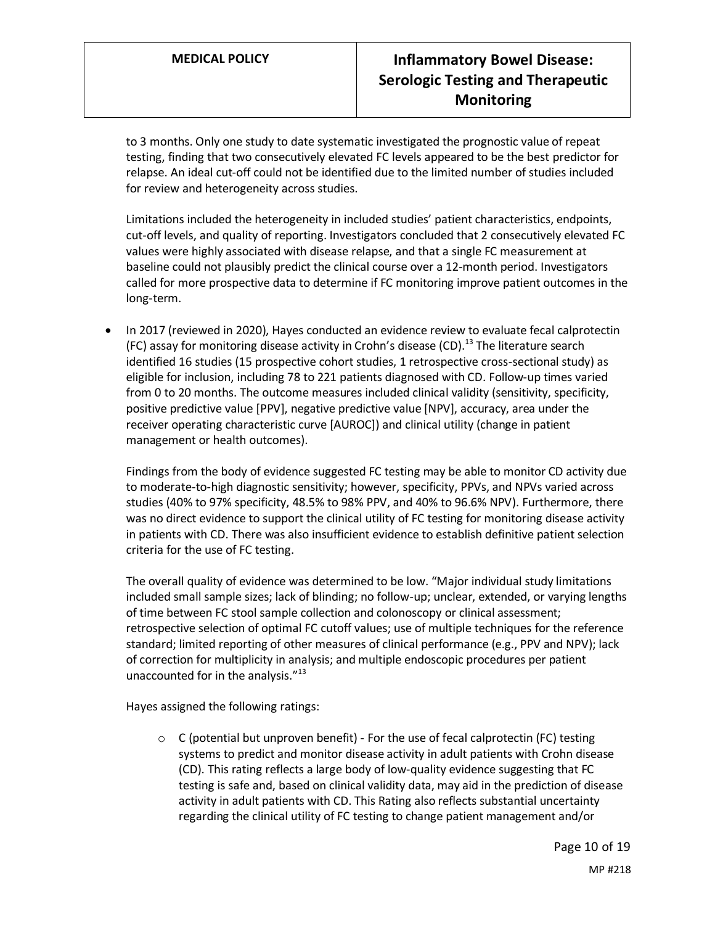to 3 months. Only one study to date systematic investigated the prognostic value of repeat testing, finding that two consecutively elevated FC levels appeared to be the best predictor for relapse. An ideal cut-off could not be identified due to the limited number of studies included for review and heterogeneity across studies.

Limitations included the heterogeneity in included studies' patient characteristics, endpoints, cut-off levels, and quality of reporting. Investigators concluded that 2 consecutively elevated FC values were highly associated with disease relapse, and that a single FC measurement at baseline could not plausibly predict the clinical course over a 12-month period. Investigators called for more prospective data to determine if FC monitoring improve patient outcomes in the long-term.

• In 2017 (reviewed in 2020), Hayes conducted an evidence review to evaluate fecal calprotectin (FC) assay for monitoring disease activity in Crohn's disease (CD). $^{13}$  The literature search identified 16 studies (15 prospective cohort studies, 1 retrospective cross-sectional study) as eligible for inclusion, including 78 to 221 patients diagnosed with CD. Follow-up times varied from 0 to 20 months. The outcome measures included clinical validity (sensitivity, specificity, positive predictive value [PPV], negative predictive value [NPV], accuracy, area under the receiver operating characteristic curve [AUROC]) and clinical utility (change in patient management or health outcomes).

Findings from the body of evidence suggested FC testing may be able to monitor CD activity due to moderate-to-high diagnostic sensitivity; however, specificity, PPVs, and NPVs varied across studies (40% to 97% specificity, 48.5% to 98% PPV, and 40% to 96.6% NPV). Furthermore, there was no direct evidence to support the clinical utility of FC testing for monitoring disease activity in patients with CD. There was also insufficient evidence to establish definitive patient selection criteria for the use of FC testing.

The overall quality of evidence was determined to be low. "Major individual study limitations included small sample sizes; lack of blinding; no follow-up; unclear, extended, or varying lengths of time between FC stool sample collection and colonoscopy or clinical assessment; retrospective selection of optimal FC cutoff values; use of multiple techniques for the reference standard; limited reporting of other measures of clinical performance (e.g., PPV and NPV); lack of correction for multiplicity in analysis; and multiple endoscopic procedures per patient unaccounted for in the analysis."<sup>13</sup>

Hayes assigned the following ratings:

o C (potential but unproven benefit) - For the use of fecal calprotectin (FC) testing systems to predict and monitor disease activity in adult patients with Crohn disease (CD). This rating reflects a large body of low-quality evidence suggesting that FC testing is safe and, based on clinical validity data, may aid in the prediction of disease activity in adult patients with CD. This Rating also reflects substantial uncertainty regarding the clinical utility of FC testing to change patient management and/or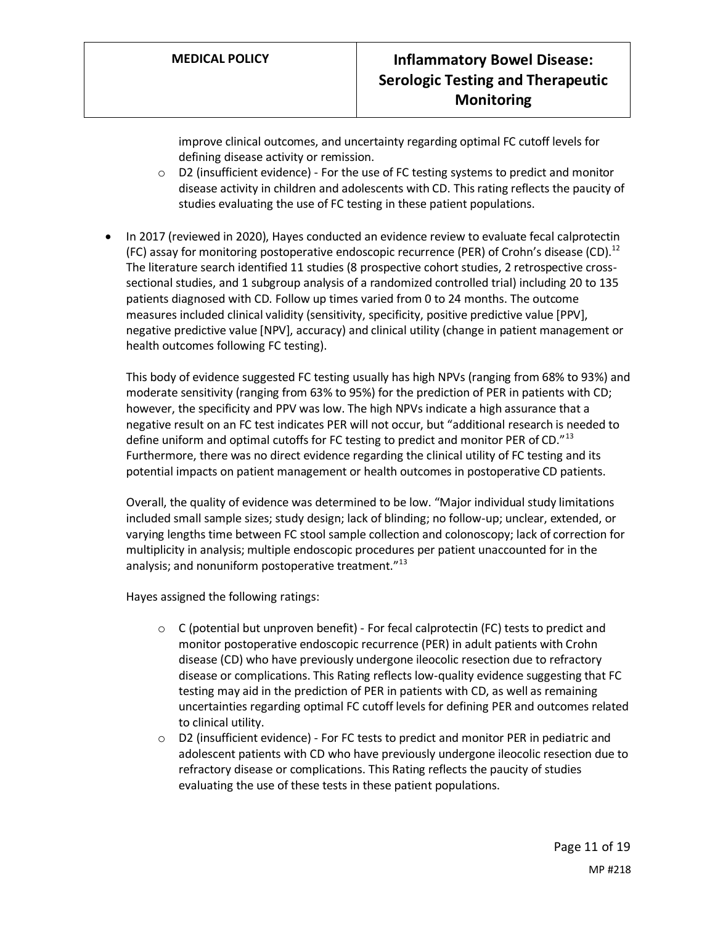improve clinical outcomes, and uncertainty regarding optimal FC cutoff levels for defining disease activity or remission.

- o D2 (insufficient evidence) For the use of FC testing systems to predict and monitor disease activity in children and adolescents with CD. This rating reflects the paucity of studies evaluating the use of FC testing in these patient populations.
- In 2017 (reviewed in 2020), Hayes conducted an evidence review to evaluate fecal calprotectin (FC) assay for monitoring postoperative endoscopic recurrence (PER) of Crohn's disease (CD).<sup>12</sup> The literature search identified 11 studies (8 prospective cohort studies, 2 retrospective crosssectional studies, and 1 subgroup analysis of a randomized controlled trial) including 20 to 135 patients diagnosed with CD. Follow up times varied from 0 to 24 months. The outcome measures included clinical validity (sensitivity, specificity, positive predictive value [PPV], negative predictive value [NPV], accuracy) and clinical utility (change in patient management or health outcomes following FC testing).

This body of evidence suggested FC testing usually has high NPVs (ranging from 68% to 93%) and moderate sensitivity (ranging from 63% to 95%) for the prediction of PER in patients with CD; however, the specificity and PPV was low. The high NPVs indicate a high assurance that a negative result on an FC test indicates PER will not occur, but "additional research is needed to define uniform and optimal cutoffs for FC testing to predict and monitor PER of CD."<sup>13</sup> Furthermore, there was no direct evidence regarding the clinical utility of FC testing and its potential impacts on patient management or health outcomes in postoperative CD patients.

Overall, the quality of evidence was determined to be low. "Major individual study limitations included small sample sizes; study design; lack of blinding; no follow-up; unclear, extended, or varying lengths time between FC stool sample collection and colonoscopy; lack of correction for multiplicity in analysis; multiple endoscopic procedures per patient unaccounted for in the analysis; and nonuniform postoperative treatment."<sup>13</sup>

Hayes assigned the following ratings:

- $\circ$  C (potential but unproven benefit) For fecal calprotectin (FC) tests to predict and monitor postoperative endoscopic recurrence (PER) in adult patients with Crohn disease (CD) who have previously undergone ileocolic resection due to refractory disease or complications. This Rating reflects low-quality evidence suggesting that FC testing may aid in the prediction of PER in patients with CD, as well as remaining uncertainties regarding optimal FC cutoff levels for defining PER and outcomes related to clinical utility.
- o D2 (insufficient evidence) For FC tests to predict and monitor PER in pediatric and adolescent patients with CD who have previously undergone ileocolic resection due to refractory disease or complications. This Rating reflects the paucity of studies evaluating the use of these tests in these patient populations.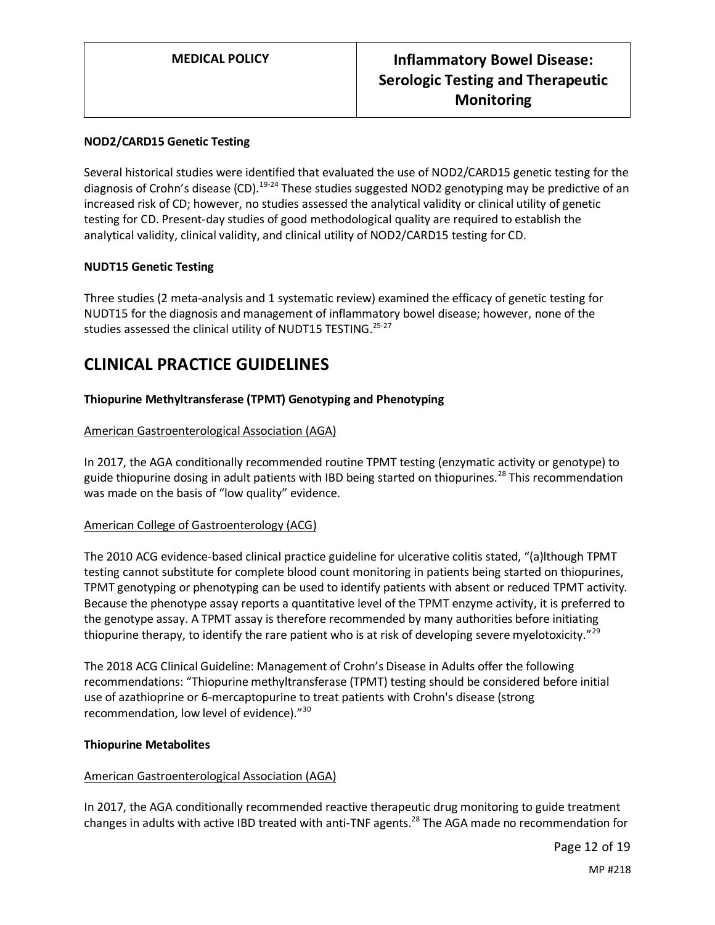### **NOD2/CARD15 Genetic Testing**

Several historical studies were identified that evaluated the use of NOD2/CARD15 genetic testing for the diagnosis of Crohn's disease (CD).<sup>19-24</sup> These studies suggested NOD2 genotyping may be predictive of an increased risk of CD; however, no studies assessed the analytical validity or clinical utility of genetic testing for CD. Present-day studies of good methodological quality are required to establish the analytical validity, clinical validity, and clinical utility of NOD2/CARD15 testing for CD.

#### **NUDT15 Genetic Testing**

Three studies (2 meta-analysis and 1 systematic review) examined the efficacy of genetic testing for NUDT15 for the diagnosis and management of inflammatory bowel disease; however, none of the studies assessed the clinical utility of NUDT15 TESTING.<sup>25-27</sup>

# **CLINICAL PRACTICE GUIDELINES**

### **Thiopurine Methyltransferase (TPMT) Genotyping and Phenotyping**

#### American Gastroenterological Association (AGA)

In 2017, the AGA conditionally recommended routine TPMT testing (enzymatic activity or genotype) to guide thiopurine dosing in adult patients with IBD being started on thiopurines.<sup>28</sup> This recommendation was made on the basis of "low quality" evidence.

#### American College of Gastroenterology (ACG)

The 2010 ACG evidence-based clinical practice guideline for ulcerative colitis stated, "(a)lthough TPMT testing cannot substitute for complete blood count monitoring in patients being started on thiopurines, TPMT genotyping or phenotyping can be used to identify patients with absent or reduced TPMT activity. Because the phenotype assay reports a quantitative level of the TPMT enzyme activity, it is preferred to the genotype assay. A TPMT assay is therefore recommended by many authorities before initiating thiopurine therapy, to identify the rare patient who is at risk of developing severe myelotoxicity."<sup>29</sup>

The 2018 ACG Clinical Guideline: Management of Crohn's Disease in Adults offer the following recommendations: "Thiopurine methyltransferase (TPMT) testing should be considered before initial use of azathioprine or 6-mercaptopurine to treat patients with Crohn's disease (strong recommendation, low level of evidence)."<sup>30</sup>

#### **Thiopurine Metabolites**

#### American Gastroenterological Association (AGA)

In 2017, the AGA conditionally recommended reactive therapeutic drug monitoring to guide treatment changes in adults with active IBD treated with anti-TNF agents.<sup>28</sup> The AGA made no recommendation for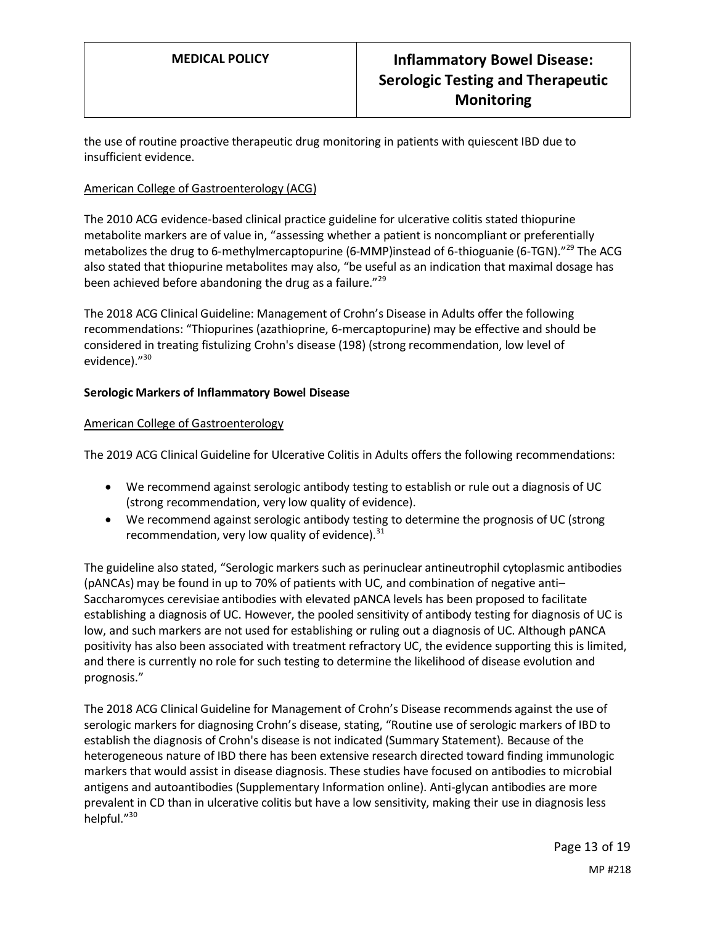the use of routine proactive therapeutic drug monitoring in patients with quiescent IBD due to insufficient evidence.

### American College of Gastroenterology (ACG)

The 2010 ACG evidence-based clinical practice guideline for ulcerative colitis stated thiopurine metabolite markers are of value in, "assessing whether a patient is noncompliant or preferentially metabolizes the drug to 6-methylmercaptopurine (6-MMP)instead of 6-thioguanie (6-TGN)."<sup>29</sup> The ACG also stated that thiopurine metabolites may also, "be useful as an indication that maximal dosage has been achieved before abandoning the drug as a failure."<sup>29</sup>

The 2018 ACG Clinical Guideline: Management of Crohn's Disease in Adults offer the following recommendations: "Thiopurines (azathioprine, 6-mercaptopurine) may be effective and should be considered in treating fistulizing Crohn's disease (198) (strong recommendation, low level of evidence)."<sup>30</sup>

### **Serologic Markers of Inflammatory Bowel Disease**

### American College of Gastroenterology

The 2019 ACG Clinical Guideline for Ulcerative Colitis in Adults offers the following recommendations:

- We recommend against serologic antibody testing to establish or rule out a diagnosis of UC (strong recommendation, very low quality of evidence).
- We recommend against serologic antibody testing to determine the prognosis of UC (strong recommendation, very low quality of evidence). $31$

The guideline also stated, "Serologic markers such as perinuclear antineutrophil cytoplasmic antibodies (pANCAs) may be found in up to 70% of patients with UC, and combination of negative anti– Saccharomyces cerevisiae antibodies with elevated pANCA levels has been proposed to facilitate establishing a diagnosis of UC. However, the pooled sensitivity of antibody testing for diagnosis of UC is low, and such markers are not used for establishing or ruling out a diagnosis of UC. Although pANCA positivity has also been associated with treatment refractory UC, the evidence supporting this is limited, and there is currently no role for such testing to determine the likelihood of disease evolution and prognosis."

The 2018 ACG Clinical Guideline for Management of Crohn's Disease recommends against the use of serologic markers for diagnosing Crohn's disease, stating, "Routine use of serologic markers of IBD to establish the diagnosis of Crohn's disease is not indicated (Summary Statement). Because of the heterogeneous nature of IBD there has been extensive research directed toward finding immunologic markers that would assist in disease diagnosis. These studies have focused on antibodies to microbial antigens and autoantibodies (Supplementary Information online). Anti-glycan antibodies are more prevalent in CD than in ulcerative colitis but have a low sensitivity, making their use in diagnosis less helpful."<sup>30</sup>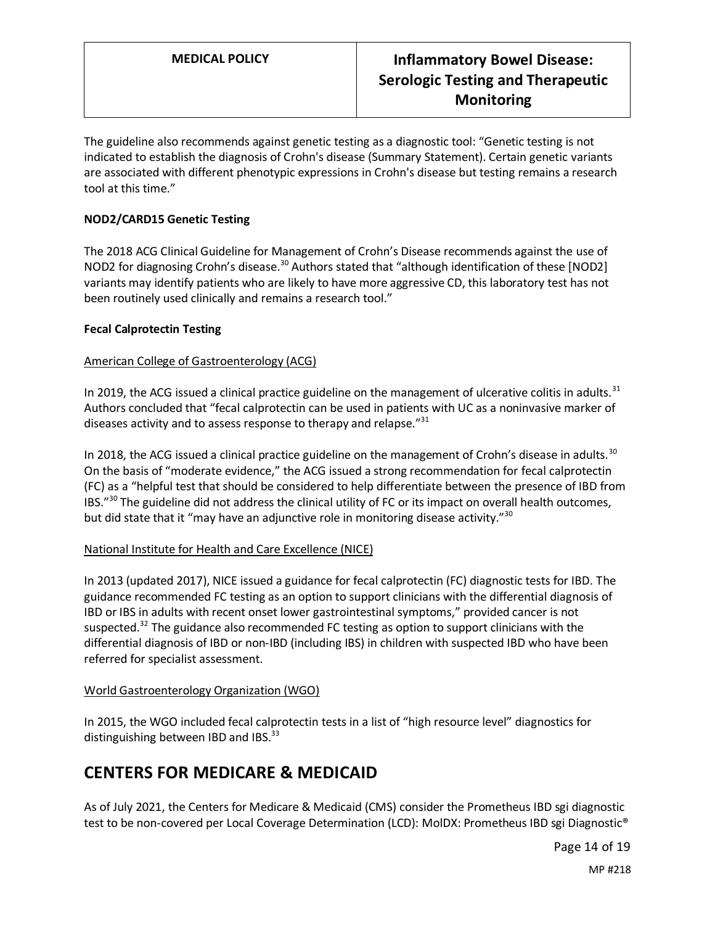The guideline also recommends against genetic testing as a diagnostic tool: "Genetic testing is not indicated to establish the diagnosis of Crohn's disease (Summary Statement). Certain genetic variants are associated with different phenotypic expressions in Crohn's disease but testing remains a research tool at this time."

### **NOD2/CARD15 Genetic Testing**

The 2018 ACG Clinical Guideline for Management of Crohn's Disease recommends against the use of NOD2 for diagnosing Crohn's disease.<sup>30</sup> Authors stated that "although identification of these [NOD2] variants may identify patients who are likely to have more aggressive CD, this laboratory test has not been routinely used clinically and remains a research tool."

### **Fecal Calprotectin Testing**

### American College of Gastroenterology (ACG)

In 2019, the ACG issued a clinical practice guideline on the management of ulcerative colitis in adults. $31$ Authors concluded that "fecal calprotectin can be used in patients with UC as a noninvasive marker of diseases activity and to assess response to therapy and relapse."<sup>31</sup>

In 2018, the ACG issued a clinical practice guideline on the management of Crohn's disease in adults.<sup>30</sup> On the basis of "moderate evidence," the ACG issued a strong recommendation for fecal calprotectin (FC) as a "helpful test that should be considered to help differentiate between the presence of IBD from IBS."<sup>30</sup> The guideline did not address the clinical utility of FC or its impact on overall health outcomes, but did state that it "may have an adjunctive role in monitoring disease activity."<sup>30</sup>

### National Institute for Health and Care Excellence (NICE)

In 2013 (updated 2017), NICE issued a guidance for fecal calprotectin (FC) diagnostic tests for IBD. The guidance recommended FC testing as an option to support clinicians with the differential diagnosis of IBD or IBS in adults with recent onset lower gastrointestinal symptoms," provided cancer is not suspected.<sup>32</sup> The guidance also recommended FC testing as option to support clinicians with the differential diagnosis of IBD or non-IBD (including IBS) in children with suspected IBD who have been referred for specialist assessment.

### World Gastroenterology Organization (WGO)

In 2015, the WGO included fecal calprotectin tests in a list of "high resource level" diagnostics for distinguishing between IBD and IBS.<sup>33</sup>

### <span id="page-13-0"></span>**CENTERS FOR MEDICARE & MEDICAID**

As of July 2021, the Centers for Medicare & Medicaid (CMS) consider the Prometheus IBD sgi diagnostic test to be non-covered per Local Coverage Determination (LCD): MolDX: Prometheus IBD sgi Diagnostic®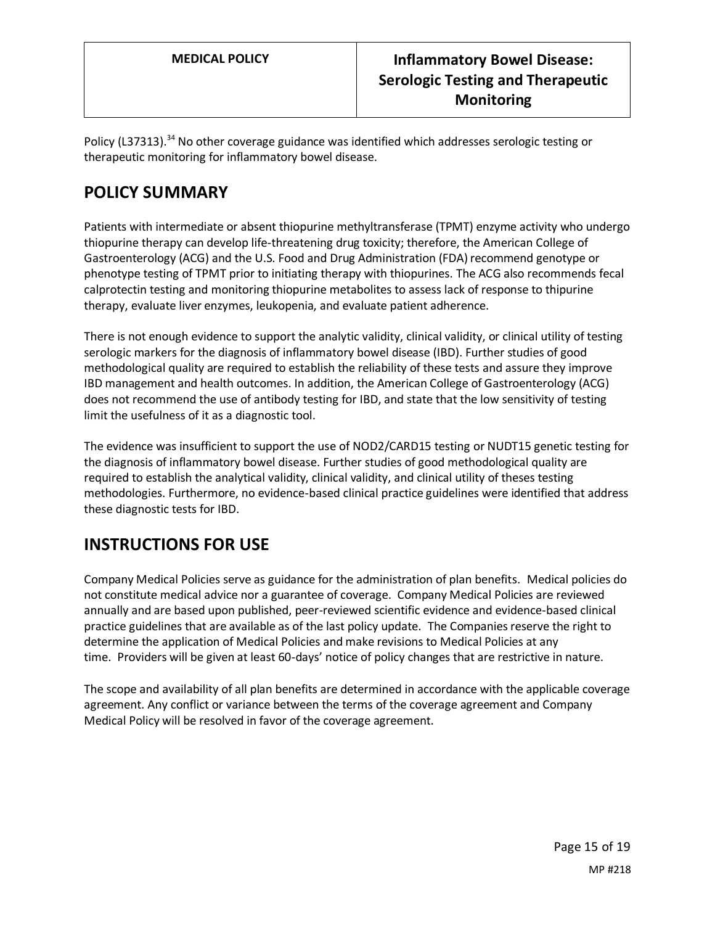Policy (L37313).<sup>34</sup> No other coverage guidance was identified which addresses serologic testing or therapeutic monitoring for inflammatory bowel disease.

# **POLICY SUMMARY**

Patients with intermediate or absent thiopurine methyltransferase (TPMT) enzyme activity who undergo thiopurine therapy can develop life-threatening drug toxicity; therefore, the American College of Gastroenterology (ACG) and the U.S. Food and Drug Administration (FDA) recommend genotype or phenotype testing of TPMT prior to initiating therapy with thiopurines. The ACG also recommends fecal calprotectin testing and monitoring thiopurine metabolites to assess lack of response to thipurine therapy, evaluate liver enzymes, leukopenia, and evaluate patient adherence.

There is not enough evidence to support the analytic validity, clinical validity, or clinical utility of testing serologic markers for the diagnosis of inflammatory bowel disease (IBD). Further studies of good methodological quality are required to establish the reliability of these tests and assure they improve IBD management and health outcomes. In addition, the American College of Gastroenterology (ACG) does not recommend the use of antibody testing for IBD, and state that the low sensitivity of testing limit the usefulness of it as a diagnostic tool.

The evidence was insufficient to support the use of NOD2/CARD15 testing or NUDT15 genetic testing for the diagnosis of inflammatory bowel disease. Further studies of good methodological quality are required to establish the analytical validity, clinical validity, and clinical utility of theses testing methodologies. Furthermore, no evidence-based clinical practice guidelines were identified that address these diagnostic tests for IBD.

# **INSTRUCTIONS FOR USE**

Company Medical Policies serve as guidance for the administration of plan benefits. Medical policies do not constitute medical advice nor a guarantee of coverage. Company Medical Policies are reviewed annually and are based upon published, peer-reviewed scientific evidence and evidence-based clinical practice guidelines that are available as of the last policy update. The Companies reserve the right to determine the application of Medical Policies and make revisions to Medical Policies at any time. Providers will be given at least 60-days' notice of policy changes that are restrictive in nature.

The scope and availability of all plan benefits are determined in accordance with the applicable coverage agreement. Any conflict or variance between the terms of the coverage agreement and Company Medical Policy will be resolved in favor of the coverage agreement.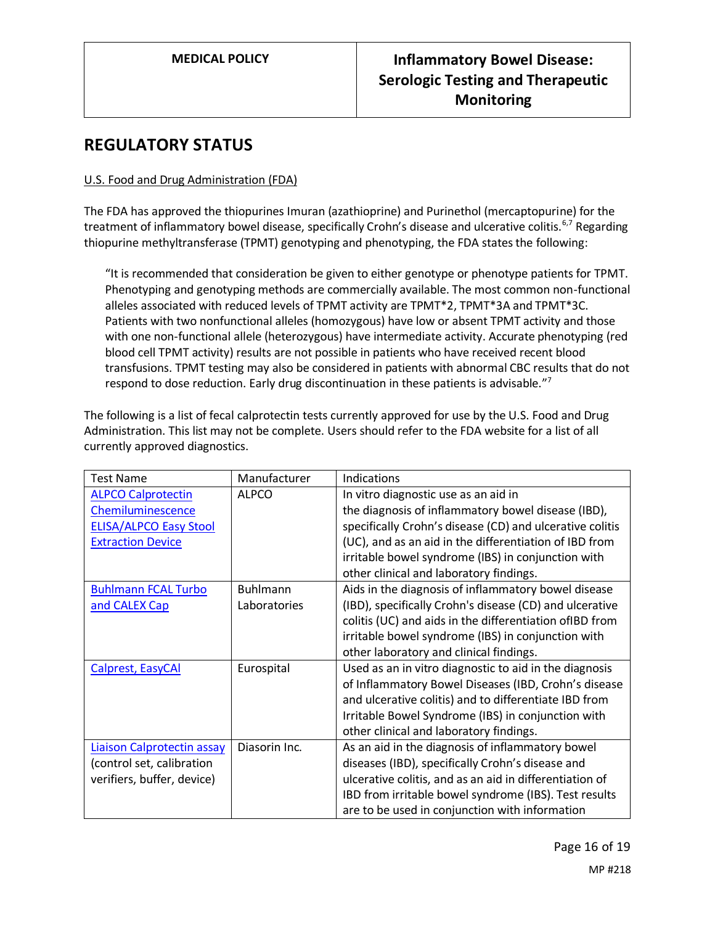### **REGULATORY STATUS**

### U.S. Food and Drug Administration (FDA)

The FDA has approved the thiopurines Imuran (azathioprine) and Purinethol (mercaptopurine) for the treatment of inflammatory bowel disease, specifically Crohn's disease and ulcerative colitis.<sup>6,7</sup> Regarding thiopurine methyltransferase (TPMT) genotyping and phenotyping, the FDA states the following:

"It is recommended that consideration be given to either genotype or phenotype patients for TPMT. Phenotyping and genotyping methods are commercially available. The most common non-functional alleles associated with reduced levels of TPMT activity are TPMT\*2, TPMT\*3A and TPMT\*3C. Patients with two nonfunctional alleles (homozygous) have low or absent TPMT activity and those with one non-functional allele (heterozygous) have intermediate activity. Accurate phenotyping (red blood cell TPMT activity) results are not possible in patients who have received recent blood transfusions. TPMT testing may also be considered in patients with abnormal CBC results that do not respond to dose reduction. Early drug discontinuation in these patients is advisable."<sup>7</sup>

The following is a list of fecal calprotectin tests currently approved for use by the U.S. Food and Drug Administration. This list may not be complete. Users should refer to the FDA website for a list of all currently approved diagnostics.

| <b>Test Name</b>              | Manufacturer    | Indications                                              |
|-------------------------------|-----------------|----------------------------------------------------------|
| <b>ALPCO Calprotectin</b>     | <b>ALPCO</b>    | In vitro diagnostic use as an aid in                     |
| Chemiluminescence             |                 | the diagnosis of inflammatory bowel disease (IBD),       |
| <b>ELISA/ALPCO Easy Stool</b> |                 | specifically Crohn's disease (CD) and ulcerative colitis |
| <b>Extraction Device</b>      |                 | (UC), and as an aid in the differentiation of IBD from   |
|                               |                 | irritable bowel syndrome (IBS) in conjunction with       |
|                               |                 | other clinical and laboratory findings.                  |
| <b>Buhlmann FCAL Turbo</b>    | <b>Buhlmann</b> | Aids in the diagnosis of inflammatory bowel disease      |
| and CALEX Cap                 | Laboratories    | (IBD), specifically Crohn's disease (CD) and ulcerative  |
|                               |                 | colitis (UC) and aids in the differentiation ofIBD from  |
|                               |                 | irritable bowel syndrome (IBS) in conjunction with       |
|                               |                 | other laboratory and clinical findings.                  |
| Calprest, EasyCAI             | Eurospital      | Used as an in vitro diagnostic to aid in the diagnosis   |
|                               |                 | of Inflammatory Bowel Diseases (IBD, Crohn's disease     |
|                               |                 | and ulcerative colitis) and to differentiate IBD from    |
|                               |                 | Irritable Bowel Syndrome (IBS) in conjunction with       |
|                               |                 | other clinical and laboratory findings.                  |
| Liaison Calprotectin assay    | Diasorin Inc.   | As an aid in the diagnosis of inflammatory bowel         |
| (control set, calibration     |                 | diseases (IBD), specifically Crohn's disease and         |
| verifiers, buffer, device)    |                 | ulcerative colitis, and as an aid in differentiation of  |
|                               |                 | IBD from irritable bowel syndrome (IBS). Test results    |
|                               |                 | are to be used in conjunction with information           |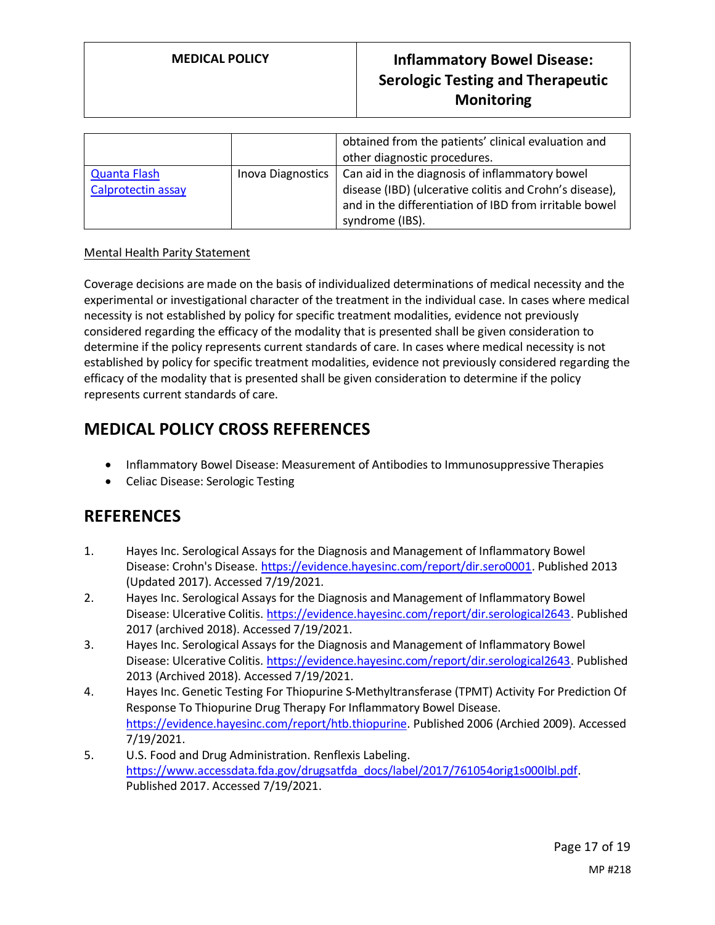|                                           |                   | obtained from the patients' clinical evaluation and<br>other diagnostic procedures.                                                                                                    |
|-------------------------------------------|-------------------|----------------------------------------------------------------------------------------------------------------------------------------------------------------------------------------|
| <b>Quanta Flash</b><br>Calprotectin assay | Inova Diagnostics | Can aid in the diagnosis of inflammatory bowel<br>disease (IBD) (ulcerative colitis and Crohn's disease),<br>and in the differentiation of IBD from irritable bowel<br>syndrome (IBS). |

### Mental Health Parity Statement

Coverage decisions are made on the basis of individualized determinations of medical necessity and the experimental or investigational character of the treatment in the individual case. In cases where medical necessity is not established by policy for specific treatment modalities, evidence not previously considered regarding the efficacy of the modality that is presented shall be given consideration to determine if the policy represents current standards of care. In cases where medical necessity is not established by policy for specific treatment modalities, evidence not previously considered regarding the efficacy of the modality that is presented shall be given consideration to determine if the policy represents current standards of care.

### **MEDICAL POLICY CROSS REFERENCES**

- Inflammatory Bowel Disease: Measurement of Antibodies to Immunosuppressive Therapies
- Celiac Disease: Serologic Testing

### **REFERENCES**

- 1. Hayes Inc. Serological Assays for the Diagnosis and Management of Inflammatory Bowel Disease: Crohn's Disease. [https://evidence.hayesinc.com/report/dir.sero0001.](https://evidence.hayesinc.com/report/dir.sero0001) Published 2013 (Updated 2017). Accessed 7/19/2021.
- 2. Hayes Inc. Serological Assays for the Diagnosis and Management of Inflammatory Bowel Disease: Ulcerative Colitis. [https://evidence.hayesinc.com/report/dir.serological2643.](https://evidence.hayesinc.com/report/dir.serological2643) Published 2017 (archived 2018). Accessed 7/19/2021.
- 3. Hayes Inc. Serological Assays for the Diagnosis and Management of Inflammatory Bowel Disease: Ulcerative Colitis. [https://evidence.hayesinc.com/report/dir.serological2643.](https://evidence.hayesinc.com/report/dir.serological2643) Published 2013 (Archived 2018). Accessed 7/19/2021.
- 4. Hayes Inc. Genetic Testing For Thiopurine S-Methyltransferase (TPMT) Activity For Prediction Of Response To Thiopurine Drug Therapy For Inflammatory Bowel Disease. [https://evidence.hayesinc.com/report/htb.thiopurine.](https://evidence.hayesinc.com/report/htb.thiopurine) Published 2006 (Archied 2009). Accessed 7/19/2021.
- 5. U.S. Food and Drug Administration. Renflexis Labeling. [https://www.accessdata.fda.gov/drugsatfda\\_docs/label/2017/761054orig1s000lbl.pdf.](https://www.accessdata.fda.gov/drugsatfda_docs/label/2017/761054orig1s000lbl.pdf) Published 2017. Accessed 7/19/2021.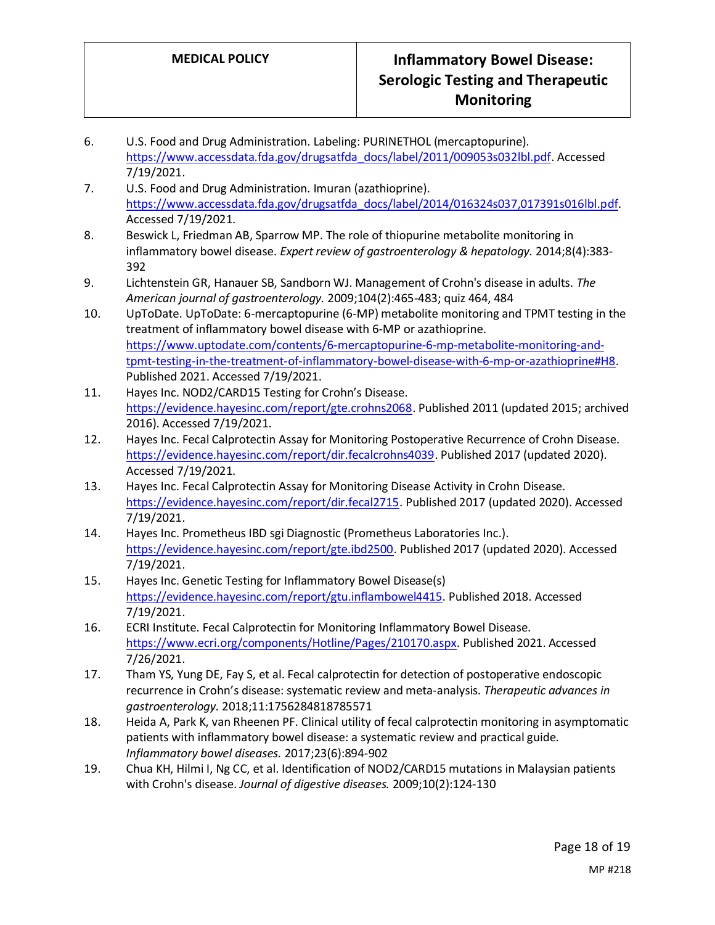- 6. U.S. Food and Drug Administration. Labeling: PURINETHOL (mercaptopurine). [https://www.accessdata.fda.gov/drugsatfda\\_docs/label/2011/009053s032lbl.pdf.](https://www.accessdata.fda.gov/drugsatfda_docs/label/2011/009053s032lbl.pdf) Accessed 7/19/2021.
- 7. U.S. Food and Drug Administration. Imuran (azathioprine). [https://www.accessdata.fda.gov/drugsatfda\\_docs/label/2014/016324s037,017391s016lbl.pdf.](https://www.accessdata.fda.gov/drugsatfda_docs/label/2014/016324s037,017391s016lbl.pdf) Accessed 7/19/2021.
- 8. Beswick L, Friedman AB, Sparrow MP. The role of thiopurine metabolite monitoring in inflammatory bowel disease. *Expert review of gastroenterology & hepatology.* 2014;8(4):383- 392
- 9. Lichtenstein GR, Hanauer SB, Sandborn WJ. Management of Crohn's disease in adults. *The American journal of gastroenterology.* 2009;104(2):465-483; quiz 464, 484
- 10. UpToDate. UpToDate: 6-mercaptopurine (6-MP) metabolite monitoring and TPMT testing in the treatment of inflammatory bowel disease with 6-MP or azathioprine. [https://www.uptodate.com/contents/6-mercaptopurine-6-mp-metabolite-monitoring-and](https://www.uptodate.com/contents/6-mercaptopurine-6-mp-metabolite-monitoring-and-tpmt-testing-in-the-treatment-of-inflammatory-bowel-disease-with-6-mp-or-azathioprine#H8)[tpmt-testing-in-the-treatment-of-inflammatory-bowel-disease-with-6-mp-or-azathioprine#H8.](https://www.uptodate.com/contents/6-mercaptopurine-6-mp-metabolite-monitoring-and-tpmt-testing-in-the-treatment-of-inflammatory-bowel-disease-with-6-mp-or-azathioprine#H8) Published 2021. Accessed 7/19/2021.
- 11. Hayes Inc. NOD2/CARD15 Testing for Crohn's Disease. [https://evidence.hayesinc.com/report/gte.crohns2068.](https://evidence.hayesinc.com/report/gte.crohns2068) Published 2011 (updated 2015; archived 2016). Accessed 7/19/2021.
- 12. Hayes Inc. Fecal Calprotectin Assay for Monitoring Postoperative Recurrence of Crohn Disease. [https://evidence.hayesinc.com/report/dir.fecalcrohns4039.](https://evidence.hayesinc.com/report/dir.fecalcrohns4039) Published 2017 (updated 2020). Accessed 7/19/2021.
- 13. Hayes Inc. Fecal Calprotectin Assay for Monitoring Disease Activity in Crohn Disease. [https://evidence.hayesinc.com/report/dir.fecal2715.](https://evidence.hayesinc.com/report/dir.fecal2715) Published 2017 (updated 2020). Accessed 7/19/2021.
- 14. Hayes Inc. Prometheus IBD sgi Diagnostic (Prometheus Laboratories Inc.). [https://evidence.hayesinc.com/report/gte.ibd2500.](https://evidence.hayesinc.com/report/gte.ibd2500) Published 2017 (updated 2020). Accessed 7/19/2021.
- 15. Hayes Inc. Genetic Testing for Inflammatory Bowel Disease(s) [https://evidence.hayesinc.com/report/gtu.inflambowel4415.](https://evidence.hayesinc.com/report/gtu.inflambowel4415) Published 2018. Accessed 7/19/2021.
- 16. ECRI Institute. Fecal Calprotectin for Monitoring Inflammatory Bowel Disease. [https://www.ecri.org/components/Hotline/Pages/210170.aspx.](https://www.ecri.org/components/Hotline/Pages/210170.aspx) Published 2021. Accessed 7/26/2021.
- 17. Tham YS, Yung DE, Fay S, et al. Fecal calprotectin for detection of postoperative endoscopic recurrence in Crohn's disease: systematic review and meta-analysis. *Therapeutic advances in gastroenterology.* 2018;11:1756284818785571
- 18. Heida A, Park K, van Rheenen PF. Clinical utility of fecal calprotectin monitoring in asymptomatic patients with inflammatory bowel disease: a systematic review and practical guide. *Inflammatory bowel diseases.* 2017;23(6):894-902
- 19. Chua KH, Hilmi I, Ng CC, et al. Identification of NOD2/CARD15 mutations in Malaysian patients with Crohn's disease. *Journal of digestive diseases.* 2009;10(2):124-130